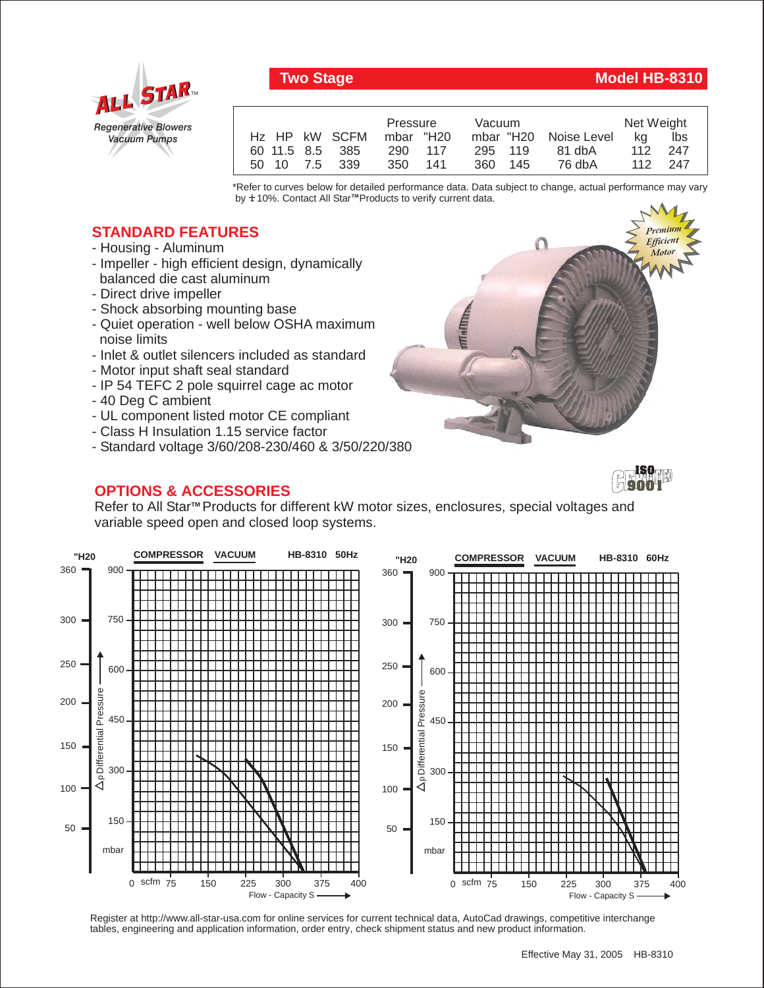

## **Two Stage Model HB-8310**

*Premium Efficient Motor*

*Premium Efficient Motor*

|                 | Pressure<br><b>Vacuum</b> |         |                       | Net Weight |       |
|-----------------|---------------------------|---------|-----------------------|------------|-------|
| Hz HP kW SCFM   | mbar "H20                 |         | mbar "H20 Noise Level | ka         | lbs   |
| 60 11.5 8.5 385 | 290 117                   | 295 119 | 81 dbA                | 112        | - 247 |
| 50 10 7.5 339   | 350 141                   | 360 145 | 76 dbA                | 112 247    |       |

\*Refer to curves below for detailed performance data. Data subject to change, actual performance may vary by **+** 10%. Contact All Star™Products to verify current data.

## **STANDARD FEATURES**

- Housing Aluminum
- Impeller high efficient design, dynamically balanced die cast aluminum
- Direct drive impeller
- Shock absorbing mounting base
- Quiet operation well below OSHA maximum noise limits
- Inlet & outlet silencers included as standard
- Motor input shaft seal standard
- IP 54 TEFC 2 pole squirrel cage ac motor
- 40 Deg C ambient
- UL component listed motor CE compliant
- Class H Insulation 1.15 service factor
- Standard voltage 3/60/208-230/460 & 3/50/220/380

## **OPTIONS & ACCESSORIES**

**ISO 9001**

Refer to All Star<sup>™</sup> Products for different kW motor sizes, enclosures, special voltages and variable speed open and closed loop systems.



Register at http://www.all-star-usa.com for online services for current technical data, AutoCad drawings, competitive interchange tables, engineering and application information, order entry, check shipment status and new product information.